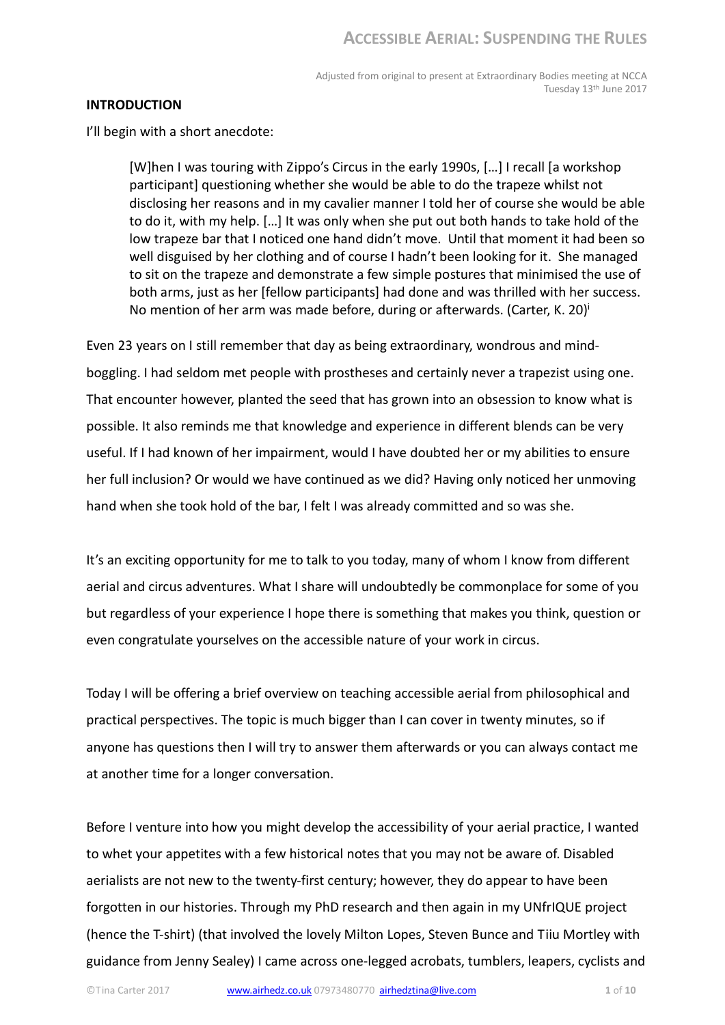Adjusted from original to present at Extraordinary Bodies meeting at NCCA Tuesday 13th June 2017

#### INTRODUCTION

I'll begin with a short anecdote:

[W]hen I was touring with Zippo's Circus in the early 1990s, […] I recall [a workshop participant] questioning whether she would be able to do the trapeze whilst not disclosing her reasons and in my cavalier manner I told her of course she would be able to do it, with my help. […] It was only when she put out both hands to take hold of the low trapeze bar that I noticed one hand didn't move. Until that moment it had been so well disguised by her clothing and of course I hadn't been looking for it. She managed to sit on the trapeze and demonstrate a few simple postures that minimised the use of both arms, just as her [fellow participants] had done and was thrilled with her success. No mention of her arm was made before, during or afterwards. (Carter, K. 20) $^{\dagger}$ 

Even 23 years on I still remember that day as being extraordinary, wondrous and mindboggling. I had seldom met people with prostheses and certainly never a trapezist using one. That encounter however, planted the seed that has grown into an obsession to know what is possible. It also reminds me that knowledge and experience in different blends can be very useful. If I had known of her impairment, would I have doubted her or my abilities to ensure her full inclusion? Or would we have continued as we did? Having only noticed her unmoving hand when she took hold of the bar, I felt I was already committed and so was she.

It's an exciting opportunity for me to talk to you today, many of whom I know from different aerial and circus adventures. What I share will undoubtedly be commonplace for some of you but regardless of your experience I hope there is something that makes you think, question or even congratulate yourselves on the accessible nature of your work in circus.

Today I will be offering a brief overview on teaching accessible aerial from philosophical and practical perspectives. The topic is much bigger than I can cover in twenty minutes, so if anyone has questions then I will try to answer them afterwards or you can always contact me at another time for a longer conversation.

Before I venture into how you might develop the accessibility of your aerial practice, I wanted to whet your appetites with a few historical notes that you may not be aware of. Disabled aerialists are not new to the twenty-first century; however, they do appear to have been forgotten in our histories. Through my PhD research and then again in my UNfrIQUE project (hence the T-shirt) (that involved the lovely Milton Lopes, Steven Bunce and Tiiu Mortley with guidance from Jenny Sealey) I came across one-legged acrobats, tumblers, leapers, cyclists and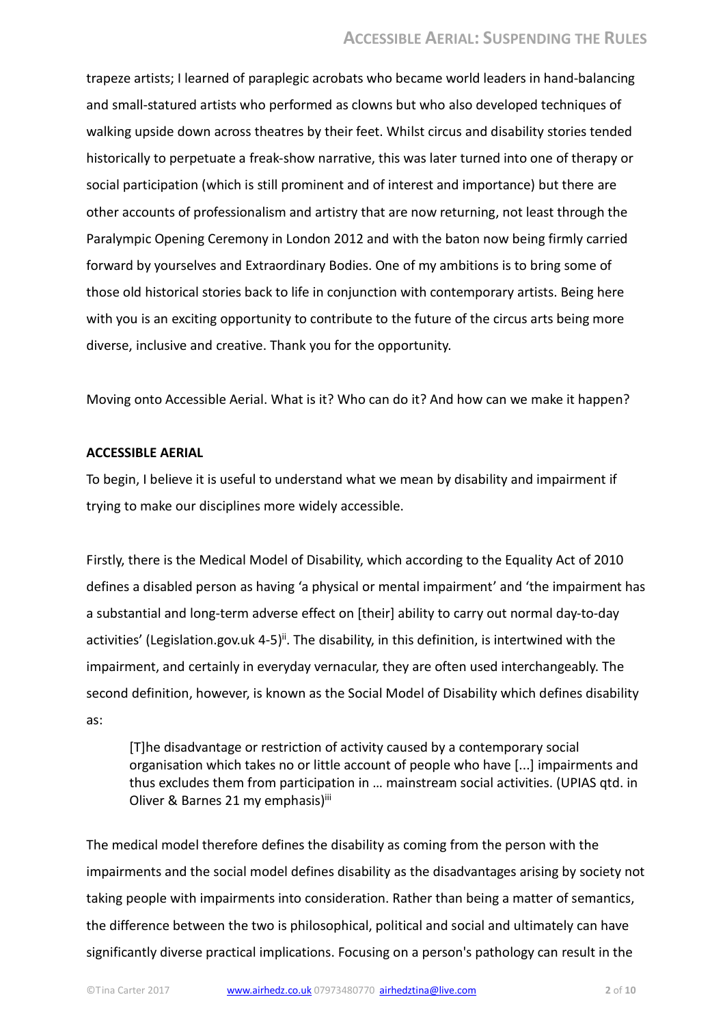trapeze artists; I learned of paraplegic acrobats who became world leaders in hand-balancing and small-statured artists who performed as clowns but who also developed techniques of walking upside down across theatres by their feet. Whilst circus and disability stories tended historically to perpetuate a freak-show narrative, this was later turned into one of therapy or social participation (which is still prominent and of interest and importance) but there are other accounts of professionalism and artistry that are now returning, not least through the Paralympic Opening Ceremony in London 2012 and with the baton now being firmly carried forward by yourselves and Extraordinary Bodies. One of my ambitions is to bring some of those old historical stories back to life in conjunction with contemporary artists. Being here with you is an exciting opportunity to contribute to the future of the circus arts being more diverse, inclusive and creative. Thank you for the opportunity.

Moving onto Accessible Aerial. What is it? Who can do it? And how can we make it happen?

## ACCESSIBLE AERIAL

To begin, I believe it is useful to understand what we mean by disability and impairment if trying to make our disciplines more widely accessible.

Firstly, there is the Medical Model of Disability, which according to the Equality Act of 2010 defines a disabled person as having 'a physical or mental impairment' and 'the impairment has a substantial and long-term adverse effect on [their] ability to carry out normal day-to-day activities' (Legislation.gov.uk 4-5)<sup>ii</sup>. The disability, in this definition, is intertwined with the impairment, and certainly in everyday vernacular, they are often used interchangeably. The second definition, however, is known as the Social Model of Disability which defines disability as:

[T]he disadvantage or restriction of activity caused by a contemporary social organisation which takes no or little account of people who have [...] impairments and thus excludes them from participation in … mainstream social activities. (UPIAS qtd. in Oliver & Barnes 21 my emphasis)iii

The medical model therefore defines the disability as coming from the person with the impairments and the social model defines disability as the disadvantages arising by society not taking people with impairments into consideration. Rather than being a matter of semantics, the difference between the two is philosophical, political and social and ultimately can have significantly diverse practical implications. Focusing on a person's pathology can result in the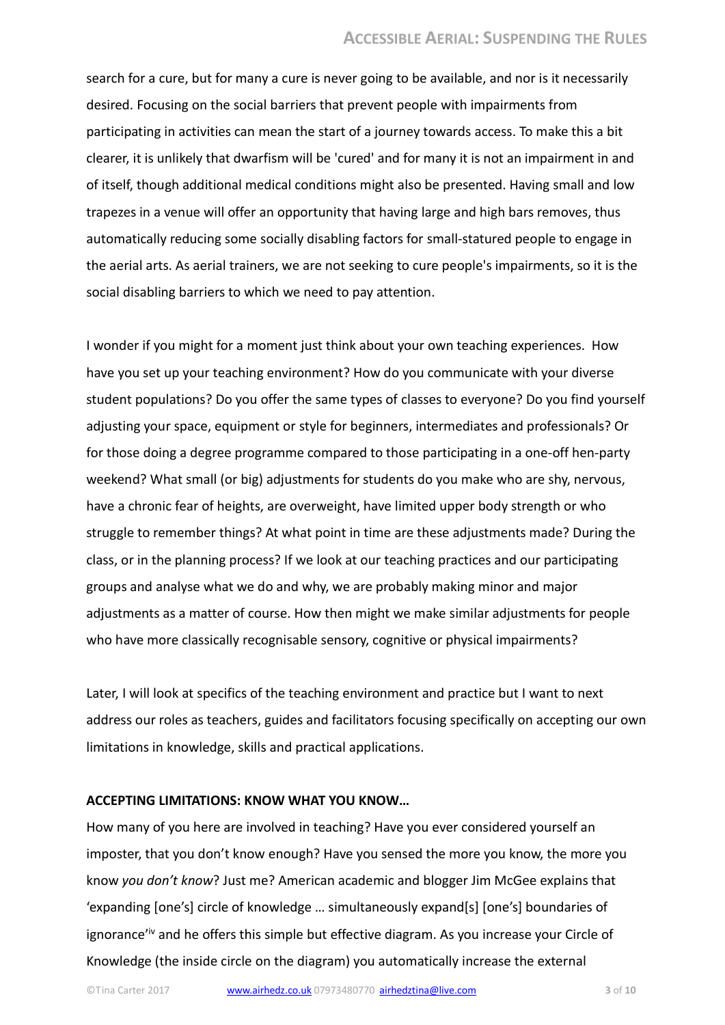search for a cure, but for many a cure is never going to be available, and nor is it necessarily desired. Focusing on the social barriers that prevent people with impairments from participating in activities can mean the start of a journey towards access. To make this a bit clearer, it is unlikely that dwarfism will be 'cured' and for many it is not an impairment in and of itself, though additional medical conditions might also be presented. Having small and low trapezes in a venue will offer an opportunity that having large and high bars removes, thus automatically reducing some socially disabling factors for small-statured people to engage in the aerial arts. As aerial trainers, we are not seeking to cure people's impairments, so it is the social disabling barriers to which we need to pay attention.

I wonder if you might for a moment just think about your own teaching experiences. How have you set up your teaching environment? How do you communicate with your diverse student populations? Do you offer the same types of classes to everyone? Do you find yourself adjusting your space, equipment or style for beginners, intermediates and professionals? Or for those doing a degree programme compared to those participating in a one-off hen-party weekend? What small (or big) adjustments for students do you make who are shy, nervous, have a chronic fear of heights, are overweight, have limited upper body strength or who struggle to remember things? At what point in time are these adjustments made? During the class, or in the planning process? If we look at our teaching practices and our participating groups and analyse what we do and why, we are probably making minor and major adjustments as a matter of course. How then might we make similar adjustments for people who have more classically recognisable sensory, cognitive or physical impairments?

Later, I will look at specifics of the teaching environment and practice but I want to next address our roles as teachers, guides and facilitators focusing specifically on accepting our own limitations in knowledge, skills and practical applications.

#### ACCEPTING LIMITATIONS: KNOW WHAT YOU KNOW…

How many of you here are involved in teaching? Have you ever considered yourself an imposter, that you don't know enough? Have you sensed the more you know, the more you know you don't know? Just me? American academic and blogger Jim McGee explains that 'expanding [one's] circle of knowledge … simultaneously expand[s] [one's] boundaries of ignorance'iv and he offers this simple but effective diagram. As you increase your Circle of Knowledge (the inside circle on the diagram) you automatically increase the external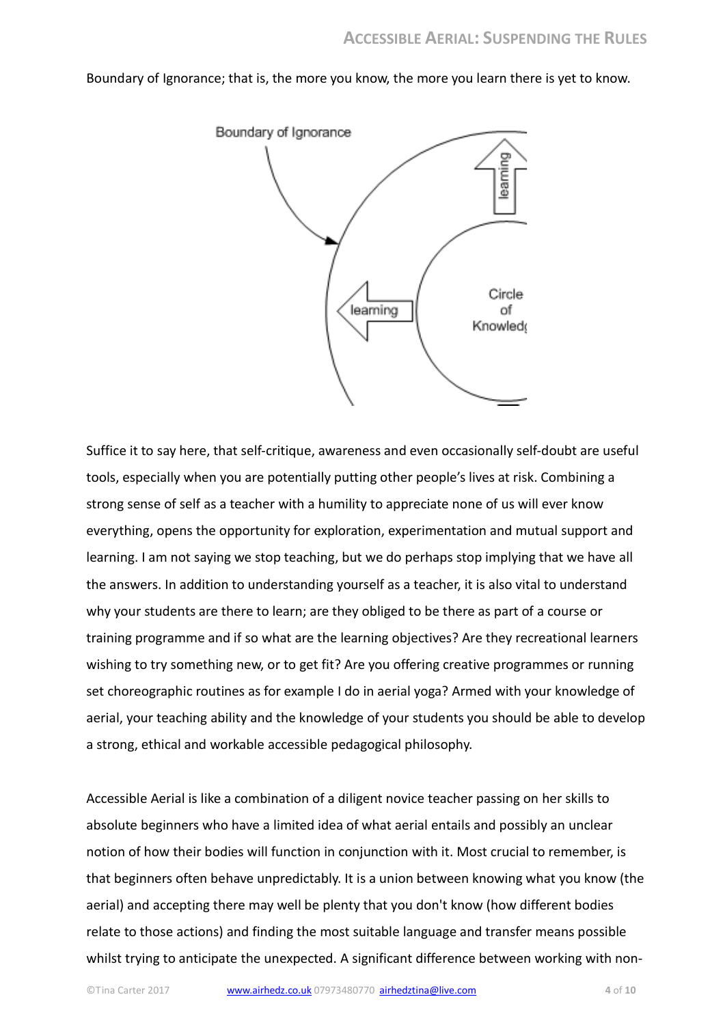Boundary of Ignorance; that is, the more you know, the more you learn there is yet to know.



Suffice it to say here, that self-critique, awareness and even occasionally self-doubt are useful tools, especially when you are potentially putting other people's lives at risk. Combining a strong sense of self as a teacher with a humility to appreciate none of us will ever know everything, opens the opportunity for exploration, experimentation and mutual support and learning. I am not saying we stop teaching, but we do perhaps stop implying that we have all the answers. In addition to understanding yourself as a teacher, it is also vital to understand why your students are there to learn; are they obliged to be there as part of a course or training programme and if so what are the learning objectives? Are they recreational learners wishing to try something new, or to get fit? Are you offering creative programmes or running set choreographic routines as for example I do in aerial yoga? Armed with your knowledge of aerial, your teaching ability and the knowledge of your students you should be able to develop a strong, ethical and workable accessible pedagogical philosophy.

Accessible Aerial is like a combination of a diligent novice teacher passing on her skills to absolute beginners who have a limited idea of what aerial entails and possibly an unclear notion of how their bodies will function in conjunction with it. Most crucial to remember, is that beginners often behave unpredictably. It is a union between knowing what you know (the aerial) and accepting there may well be plenty that you don't know (how different bodies relate to those actions) and finding the most suitable language and transfer means possible whilst trying to anticipate the unexpected. A significant difference between working with non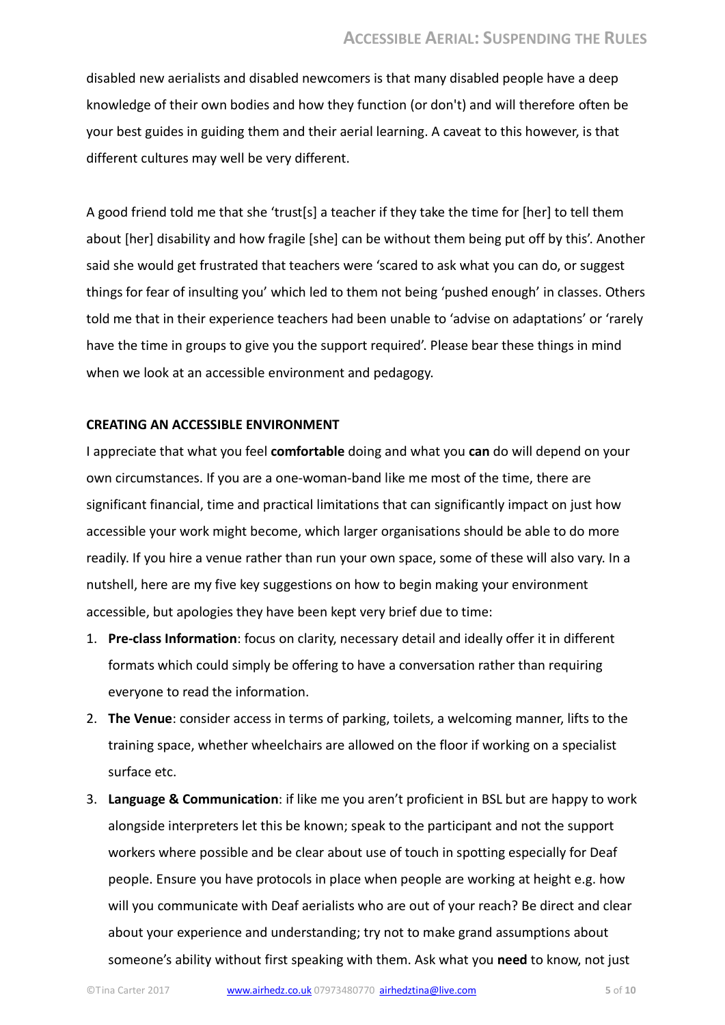disabled new aerialists and disabled newcomers is that many disabled people have a deep knowledge of their own bodies and how they function (or don't) and will therefore often be your best guides in guiding them and their aerial learning. A caveat to this however, is that different cultures may well be very different.

A good friend told me that she 'trust[s] a teacher if they take the time for [her] to tell them about [her] disability and how fragile [she] can be without them being put off by this'. Another said she would get frustrated that teachers were 'scared to ask what you can do, or suggest things for fear of insulting you' which led to them not being 'pushed enough' in classes. Others told me that in their experience teachers had been unable to 'advise on adaptations' or 'rarely have the time in groups to give you the support required'. Please bear these things in mind when we look at an accessible environment and pedagogy.

#### CREATING AN ACCESSIBLE ENVIRONMENT

I appreciate that what you feel comfortable doing and what you can do will depend on your own circumstances. If you are a one-woman-band like me most of the time, there are significant financial, time and practical limitations that can significantly impact on just how accessible your work might become, which larger organisations should be able to do more readily. If you hire a venue rather than run your own space, some of these will also vary. In a nutshell, here are my five key suggestions on how to begin making your environment accessible, but apologies they have been kept very brief due to time:

- 1. Pre-class Information: focus on clarity, necessary detail and ideally offer it in different formats which could simply be offering to have a conversation rather than requiring everyone to read the information.
- 2. The Venue: consider access in terms of parking, toilets, a welcoming manner, lifts to the training space, whether wheelchairs are allowed on the floor if working on a specialist surface etc.
- 3. Language & Communication: if like me you aren't proficient in BSL but are happy to work alongside interpreters let this be known; speak to the participant and not the support workers where possible and be clear about use of touch in spotting especially for Deaf people. Ensure you have protocols in place when people are working at height e.g. how will you communicate with Deaf aerialists who are out of your reach? Be direct and clear about your experience and understanding; try not to make grand assumptions about someone's ability without first speaking with them. Ask what you need to know, not just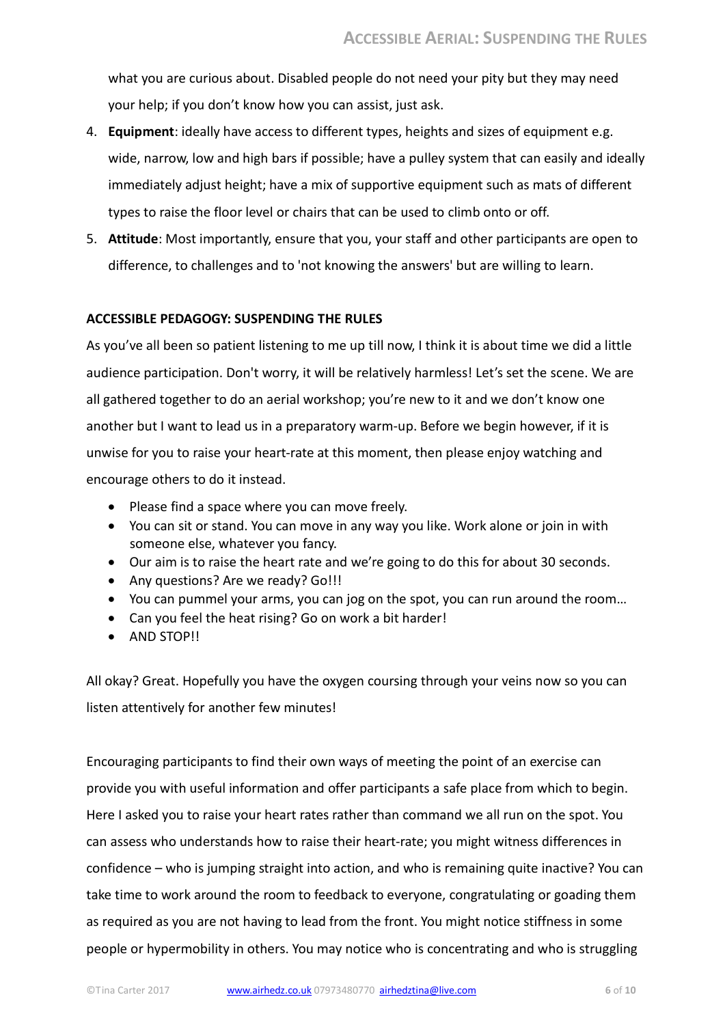what you are curious about. Disabled people do not need your pity but they may need your help; if you don't know how you can assist, just ask.

- 4. Equipment: ideally have access to different types, heights and sizes of equipment e.g. wide, narrow, low and high bars if possible; have a pulley system that can easily and ideally immediately adjust height; have a mix of supportive equipment such as mats of different types to raise the floor level or chairs that can be used to climb onto or off.
- 5. Attitude: Most importantly, ensure that you, your staff and other participants are open to difference, to challenges and to 'not knowing the answers' but are willing to learn.

## ACCESSIBLE PEDAGOGY: SUSPENDING THE RULES

As you've all been so patient listening to me up till now, I think it is about time we did a little audience participation. Don't worry, it will be relatively harmless! Let's set the scene. We are all gathered together to do an aerial workshop; you're new to it and we don't know one another but I want to lead us in a preparatory warm-up. Before we begin however, if it is unwise for you to raise your heart-rate at this moment, then please enjoy watching and encourage others to do it instead.

- Please find a space where you can move freely.
- You can sit or stand. You can move in any way you like. Work alone or join in with someone else, whatever you fancy.
- Our aim is to raise the heart rate and we're going to do this for about 30 seconds.
- Any questions? Are we ready? Go!!!
- You can pummel your arms, you can jog on the spot, you can run around the room…
- Can you feel the heat rising? Go on work a bit harder!
- AND STOP!!

All okay? Great. Hopefully you have the oxygen coursing through your veins now so you can listen attentively for another few minutes!

Encouraging participants to find their own ways of meeting the point of an exercise can provide you with useful information and offer participants a safe place from which to begin. Here I asked you to raise your heart rates rather than command we all run on the spot. You can assess who understands how to raise their heart-rate; you might witness differences in confidence – who is jumping straight into action, and who is remaining quite inactive? You can take time to work around the room to feedback to everyone, congratulating or goading them as required as you are not having to lead from the front. You might notice stiffness in some people or hypermobility in others. You may notice who is concentrating and who is struggling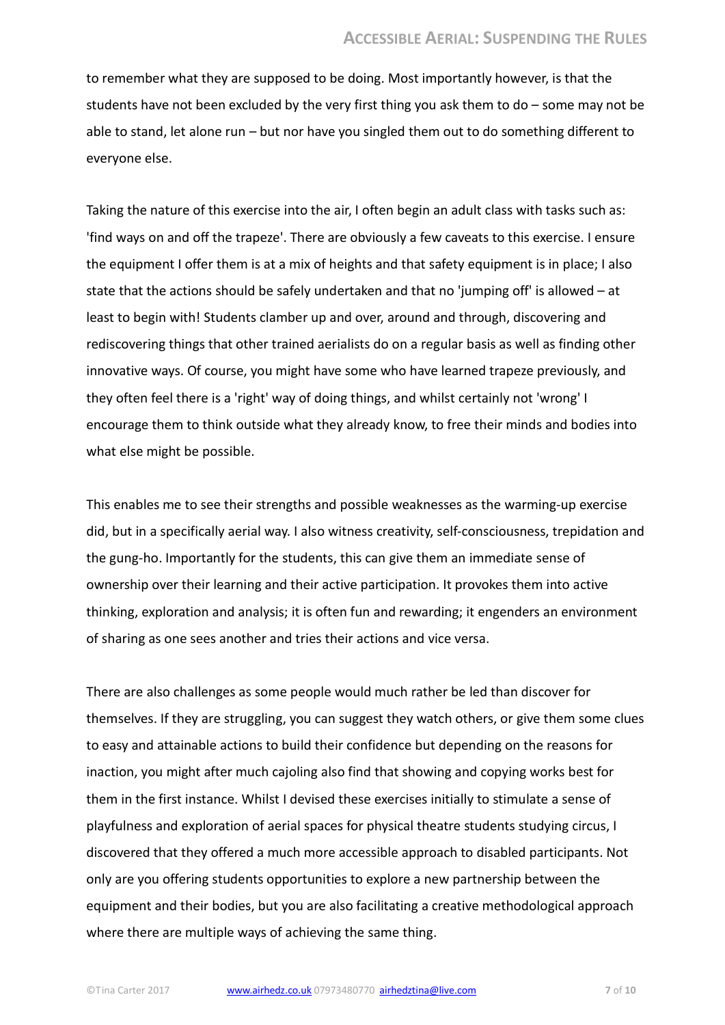to remember what they are supposed to be doing. Most importantly however, is that the students have not been excluded by the very first thing you ask them to do – some may not be able to stand, let alone run – but nor have you singled them out to do something different to everyone else.

Taking the nature of this exercise into the air, I often begin an adult class with tasks such as: 'find ways on and off the trapeze'. There are obviously a few caveats to this exercise. I ensure the equipment I offer them is at a mix of heights and that safety equipment is in place; I also state that the actions should be safely undertaken and that no 'jumping off' is allowed – at least to begin with! Students clamber up and over, around and through, discovering and rediscovering things that other trained aerialists do on a regular basis as well as finding other innovative ways. Of course, you might have some who have learned trapeze previously, and they often feel there is a 'right' way of doing things, and whilst certainly not 'wrong' I encourage them to think outside what they already know, to free their minds and bodies into what else might be possible.

This enables me to see their strengths and possible weaknesses as the warming-up exercise did, but in a specifically aerial way. I also witness creativity, self-consciousness, trepidation and the gung-ho. Importantly for the students, this can give them an immediate sense of ownership over their learning and their active participation. It provokes them into active thinking, exploration and analysis; it is often fun and rewarding; it engenders an environment of sharing as one sees another and tries their actions and vice versa.

There are also challenges as some people would much rather be led than discover for themselves. If they are struggling, you can suggest they watch others, or give them some clues to easy and attainable actions to build their confidence but depending on the reasons for inaction, you might after much cajoling also find that showing and copying works best for them in the first instance. Whilst I devised these exercises initially to stimulate a sense of playfulness and exploration of aerial spaces for physical theatre students studying circus, I discovered that they offered a much more accessible approach to disabled participants. Not only are you offering students opportunities to explore a new partnership between the equipment and their bodies, but you are also facilitating a creative methodological approach where there are multiple ways of achieving the same thing.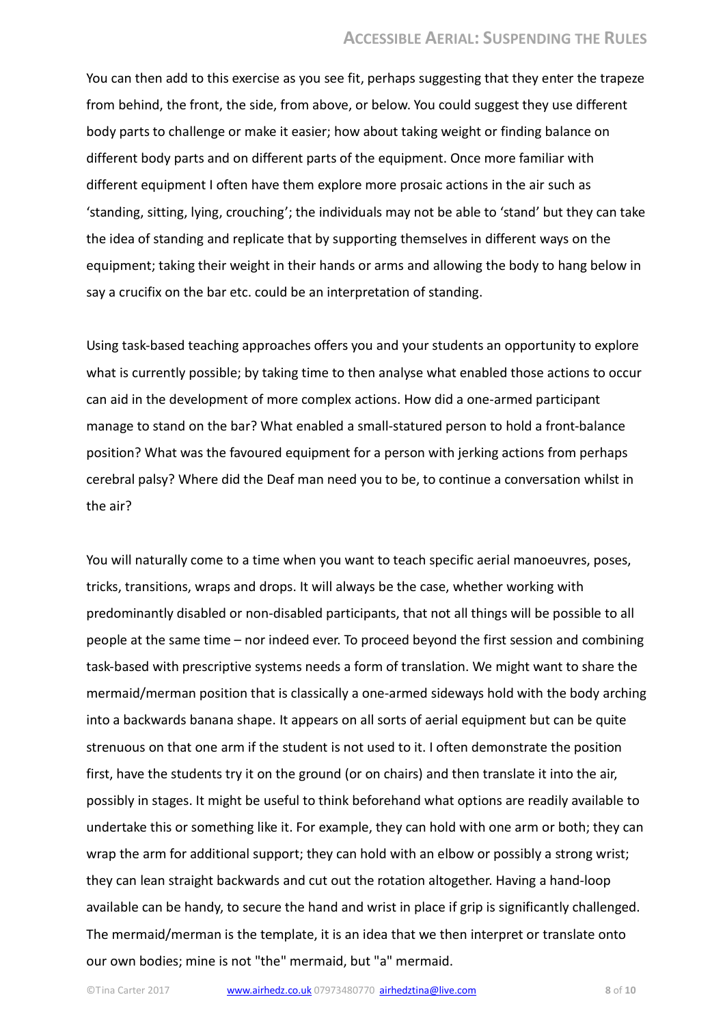You can then add to this exercise as you see fit, perhaps suggesting that they enter the trapeze from behind, the front, the side, from above, or below. You could suggest they use different body parts to challenge or make it easier; how about taking weight or finding balance on different body parts and on different parts of the equipment. Once more familiar with different equipment I often have them explore more prosaic actions in the air such as 'standing, sitting, lying, crouching'; the individuals may not be able to 'stand' but they can take the idea of standing and replicate that by supporting themselves in different ways on the equipment; taking their weight in their hands or arms and allowing the body to hang below in say a crucifix on the bar etc. could be an interpretation of standing.

Using task-based teaching approaches offers you and your students an opportunity to explore what is currently possible; by taking time to then analyse what enabled those actions to occur can aid in the development of more complex actions. How did a one-armed participant manage to stand on the bar? What enabled a small-statured person to hold a front-balance position? What was the favoured equipment for a person with jerking actions from perhaps cerebral palsy? Where did the Deaf man need you to be, to continue a conversation whilst in the air?

You will naturally come to a time when you want to teach specific aerial manoeuvres, poses, tricks, transitions, wraps and drops. It will always be the case, whether working with predominantly disabled or non-disabled participants, that not all things will be possible to all people at the same time – nor indeed ever. To proceed beyond the first session and combining task-based with prescriptive systems needs a form of translation. We might want to share the mermaid/merman position that is classically a one-armed sideways hold with the body arching into a backwards banana shape. It appears on all sorts of aerial equipment but can be quite strenuous on that one arm if the student is not used to it. I often demonstrate the position first, have the students try it on the ground (or on chairs) and then translate it into the air, possibly in stages. It might be useful to think beforehand what options are readily available to undertake this or something like it. For example, they can hold with one arm or both; they can wrap the arm for additional support; they can hold with an elbow or possibly a strong wrist; they can lean straight backwards and cut out the rotation altogether. Having a hand-loop available can be handy, to secure the hand and wrist in place if grip is significantly challenged. The mermaid/merman is the template, it is an idea that we then interpret or translate onto our own bodies; mine is not "the" mermaid, but "a" mermaid.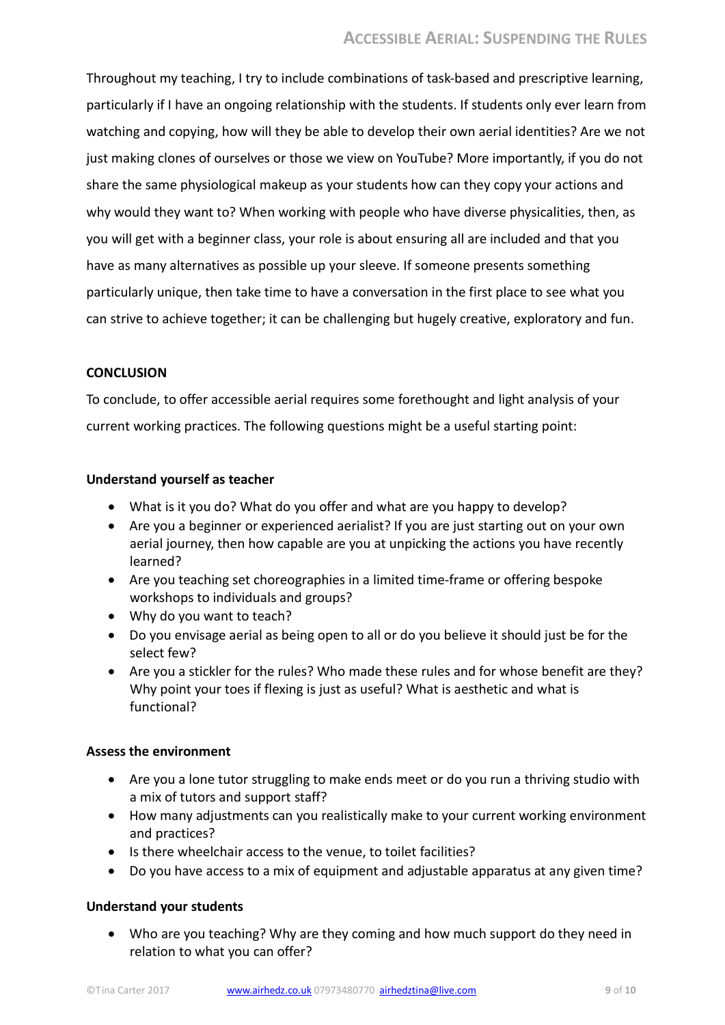Throughout my teaching, I try to include combinations of task-based and prescriptive learning, particularly if I have an ongoing relationship with the students. If students only ever learn from watching and copying, how will they be able to develop their own aerial identities? Are we not just making clones of ourselves or those we view on YouTube? More importantly, if you do not share the same physiological makeup as your students how can they copy your actions and why would they want to? When working with people who have diverse physicalities, then, as you will get with a beginner class, your role is about ensuring all are included and that you have as many alternatives as possible up your sleeve. If someone presents something particularly unique, then take time to have a conversation in the first place to see what you can strive to achieve together; it can be challenging but hugely creative, exploratory and fun.

## **CONCLUSION**

To conclude, to offer accessible aerial requires some forethought and light analysis of your current working practices. The following questions might be a useful starting point:

## Understand yourself as teacher

- What is it you do? What do you offer and what are you happy to develop?
- Are you a beginner or experienced aerialist? If you are just starting out on your own aerial journey, then how capable are you at unpicking the actions you have recently learned?
- Are you teaching set choreographies in a limited time-frame or offering bespoke workshops to individuals and groups?
- Why do you want to teach?
- Do you envisage aerial as being open to all or do you believe it should just be for the select few?
- Are you a stickler for the rules? Who made these rules and for whose benefit are they? Why point your toes if flexing is just as useful? What is aesthetic and what is functional?

# Assess the environment

- Are you a lone tutor struggling to make ends meet or do you run a thriving studio with a mix of tutors and support staff?
- How many adjustments can you realistically make to your current working environment and practices?
- Is there wheelchair access to the venue, to toilet facilities?
- Do you have access to a mix of equipment and adjustable apparatus at any given time?

# Understand your students

 Who are you teaching? Why are they coming and how much support do they need in relation to what you can offer?